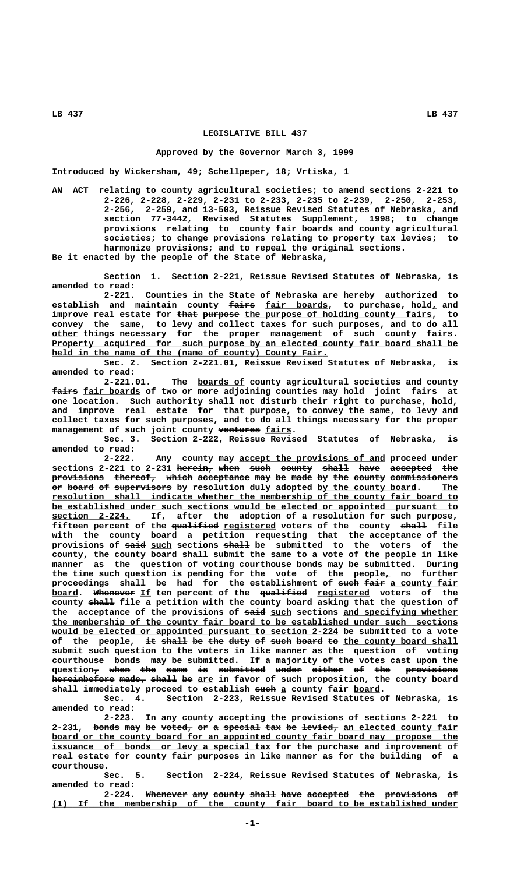### **LEGISLATIVE BILL 437**

#### **Approved by the Governor March 3, 1999**

**Introduced by Wickersham, 49; Schellpeper, 18; Vrtiska, 1**

**AN ACT relating to county agricultural societies; to amend sections 2-221 to 2-226, 2-228, 2-229, 2-231 to 2-233, 2-235 to 2-239, 2-250, 2-253, 2-256, 2-259, and 13-503, Reissue Revised Statutes of Nebraska, and section 77-3442, Revised Statutes Supplement, 1998; to change provisions relating to county fair boards and county agricultural societies; to change provisions relating to property tax levies; to harmonize provisions; and to repeal the original sections.**

**Be it enacted by the people of the State of Nebraska,**

**Section 1. Section 2-221, Reissue Revised Statutes of Nebraska, is amended to read:**

**2-221. Counties in the State of Nebraska are hereby authorized to** establish and maintain county fairs fair boards, to purchase, hold, and improve real estate for that purpose the purpose of holding county fairs, to **convey the same, to levy and collect taxes for such purposes, and to do all \_\_\_\_\_ other things necessary for the proper management of such county fairs.** Property acquired for such purpose by an elected county fair board shall be held in the name of the (name of county) County Fair.

**Sec. 2. Section 2-221.01, Reissue Revised Statutes of Nebraska, is amended to read:**

 **\_\_\_\_\_\_\_\_\_ 2-221.01. The boards of county agricultural societies and county**  $f$ aire fair boards of two or more adjoining counties may hold joint fairs at **one location. Such authority shall not disturb their right to purchase, hold, and improve real estate for that purpose, to convey the same, to levy and collect taxes for such purposes, and to do all things necessary for the proper ———————— \_\_\_\_\_ management of such joint county ventures fairs.**

**Sec. 3. Section 2-222, Reissue Revised Statutes of Nebraska, is amended to read:**

Any county may accept the provisions of and proceed under sections 2-221 to 2-231 herein, when such county shall have accepted the  ${\tt previous}$  thereof, which acceptance may be made by the county commissioners **or board of supervisors by resolution duly adopted by the county board. The —— ————— —— ——————————— \_\_\_\_\_\_\_\_\_\_\_\_\_\_\_\_\_\_\_ \_\_\_ \_\_\_\_\_\_\_\_\_\_\_\_\_\_\_\_\_\_\_\_\_\_\_\_\_\_\_\_\_\_\_\_\_\_\_\_\_\_\_\_\_\_\_\_\_\_\_\_\_\_\_\_\_\_\_\_\_\_\_\_\_\_\_\_\_\_\_\_\_\_\_\_\_\_\_\_\_\_ resolution shall indicate whether the membership of the county fair board to \_\_\_\_\_\_\_\_\_\_\_\_\_\_\_\_\_\_\_\_\_\_\_\_\_\_\_\_\_\_\_\_\_\_\_\_\_\_\_\_\_\_\_\_\_\_\_\_\_\_\_\_\_\_\_\_\_\_\_\_\_\_\_\_\_\_\_\_\_\_\_\_\_\_\_\_\_\_ be established under such sections would be elected or appointed pursuant to \_\_\_\_\_\_\_\_\_\_\_\_\_\_\_ section 2-224. If, after the adoption of a resolution for such purpose,** fifteen percent of the <del>qualified</del> registered voters of the county shall file **with the county board a petition requesting that the acceptance of the** provisions of said such sections shall be submitted to the voters of the **county, the county board shall submit the same to a vote of the people in like manner as the question of voting courthouse bonds may be submitted. During the time such question is pending for the vote of the people, no further \_** proceedings shall be had for the establishment of such fair a county fair **board.** Whenever If ten percent of the qualified registered voters of the county shall file a petition with the county board asking that the question of the acceptance of the provisions of  $\frac{1}{2}$  and sections and specifying whether  **\_\_\_\_\_\_\_\_\_\_\_\_\_\_\_\_\_\_\_\_\_\_\_\_\_\_\_\_\_\_\_\_\_\_\_\_\_\_\_\_\_\_\_\_\_\_\_\_\_\_\_\_\_\_\_\_\_\_\_\_\_\_\_\_\_\_\_\_\_\_\_\_\_\_\_\_\_\_ the membership of the county fair board to be established under such sections** would be elected or appointed pursuant to section 2-224 be submitted to a vote of the people, it shall be the duty of such board to the county board shall **submit such question to the voters in like manner as the question of voting courthouse bonds may be submitted. If a majority of the votes cast upon the**  $\frac{1}{2}$  and  $\frac{1}{2}$  are the same is submitted under either of the provisions **hereinbefore made, shall be are in favor of such proposition, the county board** shall immediately proceed to establish such a county fair board.

**Sec. 4. Section 2-223, Reissue Revised Statutes of Nebraska, is amended to read:**

**2-223. In any county accepting the provisions of sections 2-221 to** 2-231, bonds may be voted, or a special tax be levied, an elected county fair board or the county board for an appointed county fair board may propose the  **\_\_\_\_\_\_\_\_\_\_\_\_\_\_\_\_\_\_\_\_\_\_\_\_\_\_\_\_\_\_\_\_\_\_\_\_\_\_\_\_\_\_ issuance of bonds or levy a special tax for the purchase and improvement of real estate for county fair purposes in like manner as for the building of a courthouse.**

**Sec. 5. Section 2-224, Reissue Revised Statutes of Nebraska, is amended to read:**

2-224. Whenever any county shall have accepted the provisions of  **\_\_\_\_\_\_\_\_\_\_\_\_\_\_\_\_\_\_\_\_\_\_\_\_\_\_\_\_\_\_\_\_\_\_\_\_\_\_\_\_\_\_\_\_\_\_\_\_\_\_\_\_\_\_\_\_\_\_\_\_\_\_\_\_\_\_\_\_\_\_\_\_\_\_\_\_\_\_ (1) If the membership of the county fair board to be established under**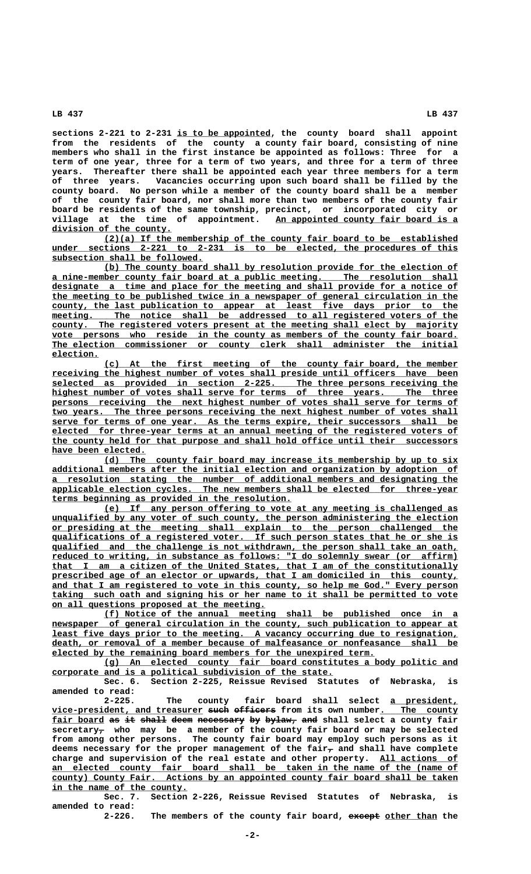**\_\_\_\_\_\_\_\_\_\_\_\_\_\_\_\_\_\_ sections 2-221 to 2-231 is to be appointed, the county board shall appoint from the residents of the county a county fair board, consisting of nine members who shall in the first instance be appointed as follows: Three for a term of one year, three for a term of two years, and three for a term of three years. Thereafter there shall be appointed each year three members for a term of three years. Vacancies occurring upon such board shall be filled by the county board. No person while a member of the county board shall be a member of the county fair board, nor shall more than two members of the county fair board be residents of the same township, precinct, or incorporated city or**  $village$  at the time of appointment.  **\_\_\_\_\_\_\_\_\_\_\_\_\_\_\_\_\_\_\_\_\_\_\_ division of the county.**

 **\_\_\_\_\_\_\_\_\_\_\_\_\_\_\_\_\_\_\_\_\_\_\_\_\_\_\_\_\_\_\_\_\_\_\_\_\_\_\_\_\_\_\_\_\_\_\_\_\_\_\_\_\_\_\_\_\_\_\_\_\_\_\_\_\_\_\_\_ (2)(a) If the membership of the county fair board to be established**  $under$  sections 2-221 to 2-231 is to be elected, the procedures of this  **\_\_\_\_\_\_\_\_\_\_\_\_\_\_\_\_\_\_\_\_\_\_\_\_\_\_\_\_\_ subsection shall be followed.**

 **\_\_\_\_\_\_\_\_\_\_\_\_\_\_\_\_\_\_\_\_\_\_\_\_\_\_\_\_\_\_\_\_\_\_\_\_\_\_\_\_\_\_\_\_\_\_\_\_\_\_\_\_\_\_\_\_\_\_\_\_\_\_\_\_\_\_\_\_ (b) The county board shall by resolution provide for the election of \_\_\_\_\_\_\_\_\_\_\_\_\_\_\_\_\_\_\_\_\_\_\_\_\_\_\_\_\_\_\_\_\_\_\_\_\_\_\_\_\_\_\_\_\_\_\_\_\_\_\_\_\_\_\_\_\_\_\_\_\_\_\_\_\_\_\_\_\_\_\_\_\_\_\_\_\_\_ a nine-member county fair board at a public meeting. The resolution shall \_\_\_\_\_\_\_\_\_\_\_\_\_\_\_\_\_\_\_\_\_\_\_\_\_\_\_\_\_\_\_\_\_\_\_\_\_\_\_\_\_\_\_\_\_\_\_\_\_\_\_\_\_\_\_\_\_\_\_\_\_\_\_\_\_\_\_\_\_\_\_\_\_\_\_\_\_\_ designate a time and place for the meeting and shall provide for a notice of \_\_\_\_\_\_\_\_\_\_\_\_\_\_\_\_\_\_\_\_\_\_\_\_\_\_\_\_\_\_\_\_\_\_\_\_\_\_\_\_\_\_\_\_\_\_\_\_\_\_\_\_\_\_\_\_\_\_\_\_\_\_\_\_\_\_\_\_\_\_\_\_\_\_\_\_\_\_ the meeting to be published twice in a newspaper of general circulation in the \_\_\_\_\_\_\_\_\_\_\_\_\_\_\_\_\_\_\_\_\_\_\_\_\_\_\_\_\_\_\_\_\_\_\_\_\_\_\_\_\_\_\_\_\_\_\_\_\_\_\_\_\_\_\_\_\_\_\_\_\_\_\_\_\_\_\_\_\_\_\_\_\_\_\_\_\_\_ county, the last publication to appear at least five days prior to the**  $meeting.$  The notice shall be addressed to all registered voters of the</u>  **\_\_\_\_\_\_\_\_\_\_\_\_\_\_\_\_\_\_\_\_\_\_\_\_\_\_\_\_\_\_\_\_\_\_\_\_\_\_\_\_\_\_\_\_\_\_\_\_\_\_\_\_\_\_\_\_\_\_\_\_\_\_\_\_\_\_\_\_\_\_\_\_\_\_\_\_\_\_ county. The registered voters present at the meeting shall elect by majority** vote persons who reside in the county as members of the county fair board.  **\_\_\_\_\_\_\_\_\_\_\_\_\_\_\_\_\_\_\_\_\_\_\_\_\_\_\_\_\_\_\_\_\_\_\_\_\_\_\_\_\_\_\_\_\_\_\_\_\_\_\_\_\_\_\_\_\_\_\_\_\_\_\_\_\_\_\_\_\_\_\_\_\_\_\_\_\_\_ The election commissioner or county clerk shall administer the initial election. \_\_\_\_\_\_\_\_\_**

 **\_\_\_\_\_\_\_\_\_\_\_\_\_\_\_\_\_\_\_\_\_\_\_\_\_\_\_\_\_\_\_\_\_\_\_\_\_\_\_\_\_\_\_\_\_\_\_\_\_\_\_\_\_\_\_\_\_\_\_\_\_\_\_\_\_\_\_\_ (c) At the first meeting of the county fair board, the member** receiving the highest number of votes shall preside until officers have been  **\_\_\_\_\_\_\_\_\_\_\_\_\_\_\_\_\_\_\_\_\_\_\_\_\_\_\_\_\_\_\_\_\_\_\_\_\_\_\_\_\_\_\_\_\_\_\_\_\_\_\_\_\_\_\_\_\_\_\_\_\_\_\_\_\_\_\_\_\_\_\_\_\_\_\_\_\_\_ selected as provided in section 2-225. The three persons receiving the \_\_\_\_\_\_\_\_\_\_\_\_\_\_\_\_\_\_\_\_\_\_\_\_\_\_\_\_\_\_\_\_\_\_\_\_\_\_\_\_\_\_\_\_\_\_\_\_\_\_\_\_\_\_\_\_\_\_\_\_\_\_\_\_\_\_\_\_\_\_\_\_\_\_\_\_\_\_ highest number of votes shall serve for terms of three years. The three** persons receiving the next highest number of votes shall serve for terms of  **\_\_\_\_\_\_\_\_\_\_\_\_\_\_\_\_\_\_\_\_\_\_\_\_\_\_\_\_\_\_\_\_\_\_\_\_\_\_\_\_\_\_\_\_\_\_\_\_\_\_\_\_\_\_\_\_\_\_\_\_\_\_\_\_\_\_\_\_\_\_\_\_\_\_\_\_\_\_ two years. The three persons receiving the next highest number of votes shall \_\_\_\_\_\_\_\_\_\_\_\_\_\_\_\_\_\_\_\_\_\_\_\_\_\_\_\_\_\_\_\_\_\_\_\_\_\_\_\_\_\_\_\_\_\_\_\_\_\_\_\_\_\_\_\_\_\_\_\_\_\_\_\_\_\_\_\_\_\_\_\_\_\_\_\_\_\_ serve for terms of one year. As the terms expire, their successors shall be \_\_\_\_\_\_\_\_\_\_\_\_\_\_\_\_\_\_\_\_\_\_\_\_\_\_\_\_\_\_\_\_\_\_\_\_\_\_\_\_\_\_\_\_\_\_\_\_\_\_\_\_\_\_\_\_\_\_\_\_\_\_\_\_\_\_\_\_\_\_\_\_\_\_\_\_\_\_ elected for three-year terms at an annual meeting of the registered voters of \_\_\_\_\_\_\_\_\_\_\_\_\_\_\_\_\_\_\_\_\_\_\_\_\_\_\_\_\_\_\_\_\_\_\_\_\_\_\_\_\_\_\_\_\_\_\_\_\_\_\_\_\_\_\_\_\_\_\_\_\_\_\_\_\_\_\_\_\_\_\_\_\_\_\_\_\_\_ the county held for that purpose and shall hold office until their successors \_\_\_\_\_\_\_\_\_\_\_\_\_\_\_\_\_\_ have been elected.**

 **\_\_\_\_\_\_\_\_\_\_\_\_\_\_\_\_\_\_\_\_\_\_\_\_\_\_\_\_\_\_\_\_\_\_\_\_\_\_\_\_\_\_\_\_\_\_\_\_\_\_\_\_\_\_\_\_\_\_\_\_\_\_\_\_\_\_\_\_ (d) The county fair board may increase its membership by up to six \_\_\_\_\_\_\_\_\_\_\_\_\_\_\_\_\_\_\_\_\_\_\_\_\_\_\_\_\_\_\_\_\_\_\_\_\_\_\_\_\_\_\_\_\_\_\_\_\_\_\_\_\_\_\_\_\_\_\_\_\_\_\_\_\_\_\_\_\_\_\_\_\_\_\_\_\_\_ additional members after the initial election and organization by adoption of \_\_\_\_\_\_\_\_\_\_\_\_\_\_\_\_\_\_\_\_\_\_\_\_\_\_\_\_\_\_\_\_\_\_\_\_\_\_\_\_\_\_\_\_\_\_\_\_\_\_\_\_\_\_\_\_\_\_\_\_\_\_\_\_\_\_\_\_\_\_\_\_\_\_\_\_\_\_ a resolution stating the number of additional members and designating the** applicable election cycles. The new members shall be elected for three-year  **\_\_\_\_\_\_\_\_\_\_\_\_\_\_\_\_\_\_\_\_\_\_\_\_\_\_\_\_\_\_\_\_\_\_\_\_\_\_\_\_\_\_\_\_\_\_ terms beginning as provided in the resolution.**

 **\_\_\_\_\_\_\_\_\_\_\_\_\_\_\_\_\_\_\_\_\_\_\_\_\_\_\_\_\_\_\_\_\_\_\_\_\_\_\_\_\_\_\_\_\_\_\_\_\_\_\_\_\_\_\_\_\_\_\_\_\_\_\_\_\_\_\_\_ (e) If any person offering to vote at any meeting is challenged as \_\_\_\_\_\_\_\_\_\_\_\_\_\_\_\_\_\_\_\_\_\_\_\_\_\_\_\_\_\_\_\_\_\_\_\_\_\_\_\_\_\_\_\_\_\_\_\_\_\_\_\_\_\_\_\_\_\_\_\_\_\_\_\_\_\_\_\_\_\_\_\_\_\_\_\_\_\_ unqualified by any voter of such county, the person administering the election \_\_\_\_\_\_\_\_\_\_\_\_\_\_\_\_\_\_\_\_\_\_\_\_\_\_\_\_\_\_\_\_\_\_\_\_\_\_\_\_\_\_\_\_\_\_\_\_\_\_\_\_\_\_\_\_\_\_\_\_\_\_\_\_\_\_\_\_\_\_\_\_\_\_\_\_\_\_ or presiding at the meeting shall explain to the person challenged the \_\_\_\_\_\_\_\_\_\_\_\_\_\_\_\_\_\_\_\_\_\_\_\_\_\_\_\_\_\_\_\_\_\_\_\_\_\_\_\_\_\_\_\_\_\_\_\_\_\_\_\_\_\_\_\_\_\_\_\_\_\_\_\_\_\_\_\_\_\_\_\_\_\_\_\_\_\_ qualifications of a registered voter. If such person states that he or she is**  $q$ ualified and the challenge is not withdrawn, the person shall take an oath,  **\_\_\_\_\_\_\_\_\_\_\_\_\_\_\_\_\_\_\_\_\_\_\_\_\_\_\_\_\_\_\_\_\_\_\_\_\_\_\_\_\_\_\_\_\_\_\_\_\_\_\_\_\_\_\_\_\_\_\_\_\_\_\_\_\_\_\_\_\_\_\_\_\_\_\_\_\_\_ reduced to writing, in substance as follows: "I do solemnly swear (or affirm) \_\_\_\_\_\_\_\_\_\_\_\_\_\_\_\_\_\_\_\_\_\_\_\_\_\_\_\_\_\_\_\_\_\_\_\_\_\_\_\_\_\_\_\_\_\_\_\_\_\_\_\_\_\_\_\_\_\_\_\_\_\_\_\_\_\_\_\_\_\_\_\_\_\_\_\_\_\_ that I am a citizen of the United States, that I am of the constitutionally \_\_\_\_\_\_\_\_\_\_\_\_\_\_\_\_\_\_\_\_\_\_\_\_\_\_\_\_\_\_\_\_\_\_\_\_\_\_\_\_\_\_\_\_\_\_\_\_\_\_\_\_\_\_\_\_\_\_\_\_\_\_\_\_\_\_\_\_\_\_\_\_\_\_\_\_\_\_ prescribed age of an elector or upwards, that I am domiciled in this county,** and that I am registered to vote in this county, so help me God." Every person  **\_\_\_\_\_\_\_\_\_\_\_\_\_\_\_\_\_\_\_\_\_\_\_\_\_\_\_\_\_\_\_\_\_\_\_\_\_\_\_\_\_\_\_\_\_\_\_\_\_\_\_\_\_\_\_\_\_\_\_\_\_\_\_\_\_\_\_\_\_\_\_\_\_\_\_\_\_\_ taking such oath and signing his or her name to it shall be permitted to vote \_\_\_\_\_\_\_\_\_\_\_\_\_\_\_\_\_\_\_\_\_\_\_\_\_\_\_\_\_\_\_\_\_\_\_\_\_\_\_\_\_ on all questions proposed at the meeting.**

 **\_\_\_\_\_\_\_\_\_\_\_\_\_\_\_\_\_\_\_\_\_\_\_\_\_\_\_\_\_\_\_\_\_\_\_\_\_\_\_\_\_\_\_\_\_\_\_\_\_\_\_\_\_\_\_\_\_\_\_\_\_\_\_\_\_\_\_\_ (f) Notice of the annual meeting shall be published once in a**  $newspaper$  of general circulation in the county, such publication to appear at least five days prior to the meeting. A vacancy occurring due to resignation,  **\_\_\_\_\_\_\_\_\_\_\_\_\_\_\_\_\_\_\_\_\_\_\_\_\_\_\_\_\_\_\_\_\_\_\_\_\_\_\_\_\_\_\_\_\_\_\_\_\_\_\_\_\_\_\_\_\_\_\_\_\_\_\_\_\_\_\_\_\_\_\_\_\_\_\_\_\_\_ death, or removal of a member because of malfeasance or nonfeasance shall be \_\_\_\_\_\_\_\_\_\_\_\_\_\_\_\_\_\_\_\_\_\_\_\_\_\_\_\_\_\_\_\_\_\_\_\_\_\_\_\_\_\_\_\_\_\_\_\_\_\_\_\_\_\_\_\_\_\_\_\_\_\_ elected by the remaining board members for the unexpired term.**

 **\_\_\_\_\_\_\_\_\_\_\_\_\_\_\_\_\_\_\_\_\_\_\_\_\_\_\_\_\_\_\_\_\_\_\_\_\_\_\_\_\_\_\_\_\_\_\_\_\_\_\_\_\_\_\_\_\_\_\_\_\_\_\_\_\_\_\_\_ (g) An elected county fair board constitutes a body politic and \_\_\_\_\_\_\_\_\_\_\_\_\_\_\_\_\_\_\_\_\_\_\_\_\_\_\_\_\_\_\_\_\_\_\_\_\_\_\_\_\_\_\_\_\_\_\_\_\_\_\_\_\_\_ corporate and is a political subdivision of the state.**

**Sec. 6. Section 2-225, Reissue Revised Statutes of Nebraska, is amended to read:**

2-225. The county fair board shall select a president,  $vice-president$ , and treasurer such officers from its own number. The county</u> fair board as it shall deem necessary by bylaw, and shall select a county fair  **— secretary, who may be a member of the county fair board or may be selected from among other persons. The county fair board may employ such persons as it** deems necessary for the proper management of the fair $_7$  and shall have complete charge and supervision of the real estate and other property. All actions of  **\_\_\_\_\_\_\_\_\_\_\_\_\_\_\_\_\_\_\_\_\_\_\_\_\_\_\_\_\_\_\_\_\_\_\_\_\_\_\_\_\_\_\_\_\_\_\_\_\_\_\_\_\_\_\_\_\_\_\_\_\_\_\_\_\_\_\_\_\_\_\_\_\_\_\_\_\_\_ an elected county fair board shall be taken in the name of the (name of \_\_\_\_\_\_\_\_\_\_\_\_\_\_\_\_\_\_\_\_\_\_\_\_\_\_\_\_\_\_\_\_\_\_\_\_\_\_\_\_\_\_\_\_\_\_\_\_\_\_\_\_\_\_\_\_\_\_\_\_\_\_\_\_\_\_\_\_\_\_\_\_\_\_\_\_\_\_ county) County Fair. Actions by an appointed county fair board shall be taken \_\_\_\_\_\_\_\_\_\_\_\_\_\_\_\_\_\_\_\_\_\_\_\_\_\_ in the name of the county.**

**Sec. 7. Section 2-226, Reissue Revised Statutes of Nebraska, is amended to read:**

The members of the county fair board, except other than the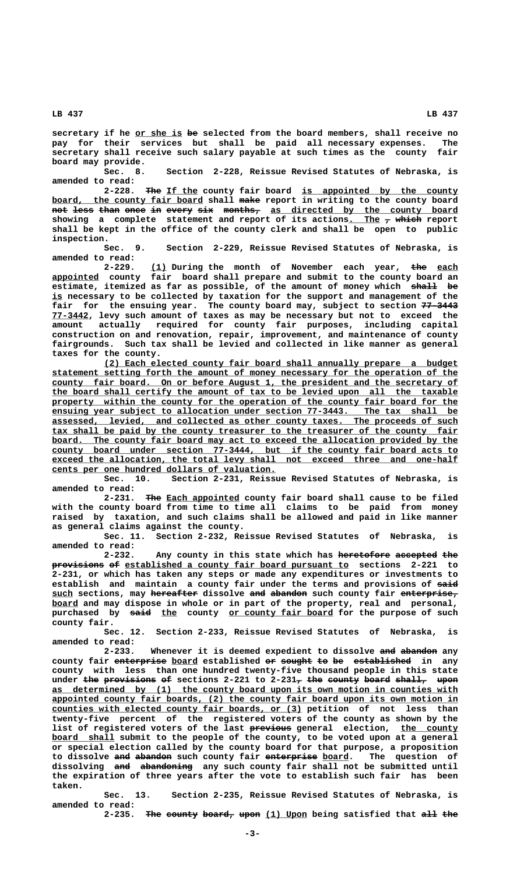$\frac{1}{2}$  secretary if he <u>or she is</u> <del>be</del> selected from the board members, shall receive no<br>pay for their services but shall be paid all necessary expenses. The **pay for their services but shall be paid all necessary expenses. The secretary shall receive such salary payable at such times as the county fair board may provide.**

**Sec. 8. Section 2-228, Reissue Revised Statutes of Nebraska, is amended to read:**

2-228. The If the county fair board is appointed by the county board, the county fair board shall make report in writing to the county board **not less than once in every six months, as directed by the county board ——— ———— ———— ———— —— ————— ——— ——————— \_\_\_\_\_\_\_\_\_\_\_\_\_\_\_\_\_\_\_\_\_\_\_\_\_\_\_\_\_\_\_\_\_\_\_\_** showing a complete statement and report of its actions<u>. The</u>  $\tau$  whi<del>ch</del> report **shall be kept in the office of the county clerk and shall be open to public inspection.**

**Sec. 9. Section 2-229, Reissue Revised Statutes of Nebraska, is amended to read:**

2-229. (1) During the month of November each year, the each **appointed** county fair board shall prepare and submit to the county board an estimate, itemized as far as possible, of the amount of money which  $\theta$ hall be  **\_\_is necessary to be collected by taxation for the support and management of the** fair for the ensuing year. The county board may, subject to section  $77-3443$  **\_\_\_\_\_\_\_ 77-3442, levy such amount of taxes as may be necessary but not to exceed the amount actually required for county fair purposes, including capital construction on and renovation, repair, improvement, and maintenance of county fairgrounds. Such tax shall be levied and collected in like manner as general taxes for the county.**

 **\_\_\_\_\_\_\_\_\_\_\_\_\_\_\_\_\_\_\_\_\_\_\_\_\_\_\_\_\_\_\_\_\_\_\_\_\_\_\_\_\_\_\_\_\_\_\_\_\_\_\_\_\_\_\_\_\_\_\_\_\_\_\_\_\_\_\_\_ (2) Each elected county fair board shall annually prepare a budget \_\_\_\_\_\_\_\_\_\_\_\_\_\_\_\_\_\_\_\_\_\_\_\_\_\_\_\_\_\_\_\_\_\_\_\_\_\_\_\_\_\_\_\_\_\_\_\_\_\_\_\_\_\_\_\_\_\_\_\_\_\_\_\_\_\_\_\_\_\_\_\_\_\_\_\_\_\_ statement setting forth the amount of money necessary for the operation of the \_\_\_\_\_\_\_\_\_\_\_\_\_\_\_\_\_\_\_\_\_\_\_\_\_\_\_\_\_\_\_\_\_\_\_\_\_\_\_\_\_\_\_\_\_\_\_\_\_\_\_\_\_\_\_\_\_\_\_\_\_\_\_\_\_\_\_\_\_\_\_\_\_\_\_\_\_\_ county fair board. On or before August 1, the president and the secretary of \_\_\_\_\_\_\_\_\_\_\_\_\_\_\_\_\_\_\_\_\_\_\_\_\_\_\_\_\_\_\_\_\_\_\_\_\_\_\_\_\_\_\_\_\_\_\_\_\_\_\_\_\_\_\_\_\_\_\_\_\_\_\_\_\_\_\_\_\_\_\_\_\_\_\_\_\_\_ the board shall certify the amount of tax to be levied upon all the taxable** property within the county for the operation of the county fair board for the ensuing year subject to allocation under section 77-3443. The tax shall be  **\_\_\_\_\_\_\_\_\_\_\_\_\_\_\_\_\_\_\_\_\_\_\_\_\_\_\_\_\_\_\_\_\_\_\_\_\_\_\_\_\_\_\_\_\_\_\_\_\_\_\_\_\_\_\_\_\_\_\_\_\_\_\_\_\_\_\_\_\_\_\_\_\_\_\_\_\_\_ assessed, levied, and collected as other county taxes. The proceeds of such \_\_\_\_\_\_\_\_\_\_\_\_\_\_\_\_\_\_\_\_\_\_\_\_\_\_\_\_\_\_\_\_\_\_\_\_\_\_\_\_\_\_\_\_\_\_\_\_\_\_\_\_\_\_\_\_\_\_\_\_\_\_\_\_\_\_\_\_\_\_\_\_\_\_\_\_\_\_ tax shall be paid by the county treasurer to the treasurer of the county fair** board. The county fair board may act to exceed the allocation provided by the  **\_\_\_\_\_\_\_\_\_\_\_\_\_\_\_\_\_\_\_\_\_\_\_\_\_\_\_\_\_\_\_\_\_\_\_\_\_\_\_\_\_\_\_\_\_\_\_\_\_\_\_\_\_\_\_\_\_\_\_\_\_\_\_\_\_\_\_\_\_\_\_\_\_\_\_\_\_\_ county board under section 77-3444, but if the county fair board acts to** exceed the allocation, the total levy shall not exceed three and one-half  **\_\_\_\_\_\_\_\_\_\_\_\_\_\_\_\_\_\_\_\_\_\_\_\_\_\_\_\_\_\_\_\_\_\_\_\_\_\_\_\_\_\_\_ cents per one hundred dollars of valuation.**

**Sec. 10. Section 2-231, Reissue Revised Statutes of Nebraska, is amended to read:**

 **——— \_\_\_\_\_\_\_\_\_\_\_\_\_\_ 2-231. The Each appointed county fair board shall cause to be filed with the county board from time to time all claims to be paid from money raised by taxation, and such claims shall be allowed and paid in like manner as general claims against the county.**

**Sec. 11. Section 2-232, Reissue Revised Statutes of Nebraska, is amended to read:**

2-232. Any county in this state which has heretofore accepted the **provisions of established a county fair board pursuant to** sections 2-221 to **2-231, or which has taken any steps or made any expenditures or investments to** establish and maintain a county fair under the terms and provisions of said  **\_\_\_\_ ————————— ——— ——————— ——————————— such sections, may hereafter dissolve and abandon such county fair enterprise, board and may dispose in whole or in part of the property, real and personal,** purchased by said the county or county fair board for the purpose of such  **county fair.**

**Sec. 12. Section 2-233, Reissue Revised Statutes of Nebraska, is amended to read:**

**2-233.** Whenever it is deemed expedient to dissolve and abandon any county fair enterprise board established or sought to be established in any **county with less than one hundred twenty-five thousand people in this state** under the provisions of sections 2-221 to 2-231<sub>7</sub> the county board shall, upon  **\_\_\_\_\_\_\_\_\_\_\_\_\_\_\_\_\_\_\_\_\_\_\_\_\_\_\_\_\_\_\_\_\_\_\_\_\_\_\_\_\_\_\_\_\_\_\_\_\_\_\_\_\_\_\_\_\_\_\_\_\_\_\_\_\_\_\_\_\_\_\_\_\_\_\_\_\_\_ as determined by (1) the county board upon its own motion in counties with** appointed county fair boards, (2) the county fair board upon its own motion in  **\_\_\_\_\_\_\_\_\_\_\_\_\_\_\_\_\_\_\_\_\_\_\_\_\_\_\_\_\_\_\_\_\_\_\_\_\_\_\_\_\_\_\_\_\_\_\_\_ counties with elected county fair boards, or (3) petition of not less than twenty-five percent of the registered voters of the county as shown by the** list of registered voters of the last previous general election, the county **<u>board shall</u> submit to the people of the county, to be voted upon at a general</u> or special election called by the county board for that purpose, a proposition** to dissolve and abandon such county fair enterprise board. The question of dissolving and abandoning any such county fair shall not be submitted until **the expiration of three years after the vote to establish such fair has been taken.**

**Sec. 13. Section 2-235, Reissue Revised Statutes of Nebraska, is amended to read:**

2-235. The county board, upon (1) Upon being satisfied that all the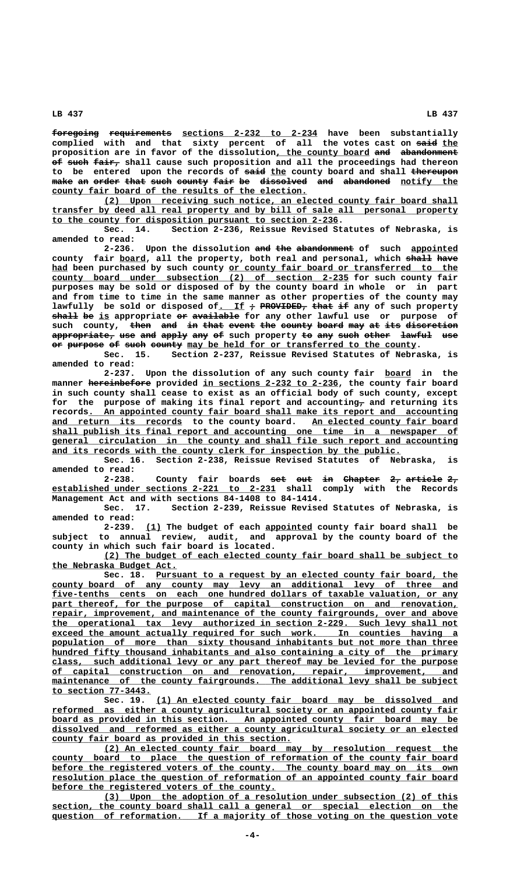**foregoing requirements sections 2-232 to 2-234 have been substantially ————————— ———————————— \_\_\_\_\_\_\_\_\_\_\_\_\_\_\_\_\_\_\_\_\_\_\_\_\_\_ complied with and that sixty percent of all the votes cast on said the ———— \_\_\_** proposition are in favor of the dissolution, the county board and abandonment **of such fair, shall cause such proposition and all the proceedings had thereon** to be entered upon the records of said the county board and shall thereupon make an order that such county fair be dissolved and abandoned notify the county fair board of the results of the election.

 **\_\_\_\_\_\_\_\_\_\_\_\_\_\_\_\_\_\_\_\_\_\_\_\_\_\_\_\_\_\_\_\_\_\_\_\_\_\_\_\_\_\_\_\_\_\_\_\_\_\_\_\_\_\_\_\_\_\_\_\_\_\_\_\_\_\_\_\_ (2) Upon receiving such notice, an elected county fair board shall \_\_\_\_\_\_\_\_\_\_\_\_\_\_\_\_\_\_\_\_\_\_\_\_\_\_\_\_\_\_\_\_\_\_\_\_\_\_\_\_\_\_\_\_\_\_\_\_\_\_\_\_\_\_\_\_\_\_\_\_\_\_\_\_\_\_\_\_\_\_\_\_\_\_\_\_\_\_ transfer by deed all real property and by bill of sale all personal property \_\_\_\_\_\_\_\_\_\_\_\_\_\_\_\_\_\_\_\_\_\_\_\_\_\_\_\_\_\_\_\_\_\_\_\_\_\_\_\_\_\_\_\_\_\_\_\_\_\_\_\_\_\_\_ to the county for disposition pursuant to section 2-236.**

**Sec. 14. Section 2-236, Reissue Revised Statutes of Nebraska, is amended to read:**

2-236. Upon the dissolution and the abandonment of such appointed county fair **board, all the property, both real and personal, which <del>shall</del> have** had been purchased by such county or county fair board or transferred to the county board under subsection (2) of section 2-235 for such county fair **purposes may be sold or disposed of by the county board in whole or in part and from time to time in the same manner as other properties of the county may** lawfully be sold or disposed of. If  $\rightarrow$  PROVIDED, that if any of such property shall be is appropriate or available for any other lawful use or purpose of such county, <del>then and in that event the county board may at its discretion</del> appropriate, use and apply any of such property to any such other lawful use or purpose of such county may be held for or transferred to the county.

**Sec. 15. Section 2-237, Reissue Revised Statutes of Nebraska, is amended to read:**

2-237. Upon the dissolution of any such county fair **board** in the manner hereinbefore provided in sections 2-232 to 2-236, the county fair board **in such county shall cease to exist as an official body of such county, except** for the purpose of making its final report and accounting<sub>7</sub> and returning its  **\_\_\_\_\_\_\_\_\_\_\_\_\_\_\_\_\_\_\_\_\_\_\_\_\_\_\_\_\_\_\_\_\_\_\_\_\_\_\_\_\_\_\_\_\_\_\_\_\_\_\_\_\_\_\_\_\_\_\_\_\_\_\_\_\_\_\_\_\_\_\_ records. An appointed county fair board shall make its report and accounting** and return its records to the county board. An elected county fair board  **\_\_\_\_\_\_\_\_\_\_\_\_\_\_\_\_\_\_\_\_\_\_\_\_\_\_\_\_\_\_\_\_\_\_\_\_\_\_\_\_\_\_\_\_\_\_\_\_\_\_\_\_\_\_\_\_\_\_\_\_\_\_\_\_\_\_\_\_\_\_\_\_\_\_\_\_\_\_ shall publish its final report and accounting one time in a newspaper of \_\_\_\_\_\_\_\_\_\_\_\_\_\_\_\_\_\_\_\_\_\_\_\_\_\_\_\_\_\_\_\_\_\_\_\_\_\_\_\_\_\_\_\_\_\_\_\_\_\_\_\_\_\_\_\_\_\_\_\_\_\_\_\_\_\_\_\_\_\_\_\_\_\_\_\_\_\_ general circulation in the county and shall file such report and accounting** and its records with the county clerk for inspection by the public.

**Sec. 16. Section 2-238, Reissue Revised Statutes of Nebraska, is amended to read:**

2-238. County fair boards <del>set out in Chapter 2, article 2,</del>  **\_\_\_\_\_\_\_\_\_\_\_\_\_\_\_\_\_\_\_\_\_\_\_\_\_\_\_\_\_\_\_\_\_\_\_\_\_\_\_\_\_\_\_ established under sections 2-221 to 2-231 shall comply with the Records Management Act and with sections 84-1408 to 84-1414.**

> **Sec. 17. Section 2-239, Reissue Revised Statutes of Nebraska, is amended to read:**

> **\_\_\_ \_\_\_\_\_\_\_\_\_ 2-239. (1) The budget of each appointed county fair board shall be subject to annual review, audit, and approval by the county board of the county in which such fair board is located.**

> **\_\_\_\_\_\_\_\_\_\_\_\_\_\_\_\_\_\_\_\_\_\_\_\_\_\_\_\_\_\_\_\_\_\_\_\_\_\_\_\_\_\_\_\_\_\_\_\_\_\_\_\_\_\_\_\_\_\_\_\_\_\_\_\_\_\_\_\_ (2) The budget of each elected county fair board shall be subject to \_\_\_\_\_\_\_\_\_\_\_\_\_\_\_\_\_\_\_\_\_\_\_\_ the Nebraska Budget Act.**

**Sec. 18.** Pursuant to a request by an elected county fair board, the  **\_\_\_\_\_\_\_\_\_\_\_\_\_\_\_\_\_\_\_\_\_\_\_\_\_\_\_\_\_\_\_\_\_\_\_\_\_\_\_\_\_\_\_\_\_\_\_\_\_\_\_\_\_\_\_\_\_\_\_\_\_\_\_\_\_\_\_\_\_\_\_\_\_\_\_\_\_\_ county board of any county may levy an additional levy of three and \_\_\_\_\_\_\_\_\_\_\_\_\_\_\_\_\_\_\_\_\_\_\_\_\_\_\_\_\_\_\_\_\_\_\_\_\_\_\_\_\_\_\_\_\_\_\_\_\_\_\_\_\_\_\_\_\_\_\_\_\_\_\_\_\_\_\_\_\_\_\_\_\_\_\_\_\_\_ five-tenths cents on each one hundred dollars of taxable valuation, or any** part thereof, for the purpose of capital construction on and renovation,  $repair$ , improvement, and maintenance of the county fairgrounds, over and above</u>  **\_\_\_\_\_\_\_\_\_\_\_\_\_\_\_\_\_\_\_\_\_\_\_\_\_\_\_\_\_\_\_\_\_\_\_\_\_\_\_\_\_\_\_\_\_\_\_\_\_\_\_\_\_\_\_\_\_\_\_\_\_\_\_\_\_\_\_\_\_\_\_\_\_\_\_\_\_\_ the operational tax levy authorized in section 2-229. Such levy shall not \_\_\_\_\_\_\_\_\_\_\_\_\_\_\_\_\_\_\_\_\_\_\_\_\_\_\_\_\_\_\_\_\_\_\_\_\_\_\_\_\_\_\_\_\_\_\_\_\_\_\_\_\_\_\_\_\_\_\_\_\_\_\_\_\_\_\_\_\_\_\_\_\_\_\_\_\_\_ exceed the amount actually required for such work. In counties having a** population of more than sixty thousand inhabitants but not more than three hundred fifty thousand inhabitants and also containing a city of the primary  **\_\_\_\_\_\_\_\_\_\_\_\_\_\_\_\_\_\_\_\_\_\_\_\_\_\_\_\_\_\_\_\_\_\_\_\_\_\_\_\_\_\_\_\_\_\_\_\_\_\_\_\_\_\_\_\_\_\_\_\_\_\_\_\_\_\_\_\_\_\_\_\_\_\_\_\_\_\_ class, such additional levy or any part thereof may be levied for the purpose \_\_\_\_\_\_\_\_\_\_\_\_\_\_\_\_\_\_\_\_\_\_\_\_\_\_\_\_\_\_\_\_\_\_\_\_\_\_\_\_\_\_\_\_\_\_\_\_\_\_\_\_\_\_\_\_\_\_\_\_\_\_\_\_\_\_\_\_\_\_\_\_\_\_\_\_\_\_ of capital construction on and renovation, repair, improvement, and**  $\text{mainteanace}$  of the county fairgrounds. The additional levy shall be subject  **\_\_\_\_\_\_\_\_\_\_\_\_\_\_\_\_\_\_\_ to section 77-3443.**

Sec. 19. (1) An elected county fair board may be dissolved and  **\_\_\_\_\_\_\_\_\_\_\_\_\_\_\_\_\_\_\_\_\_\_\_\_\_\_\_\_\_\_\_\_\_\_\_\_\_\_\_\_\_\_\_\_\_\_\_\_\_\_\_\_\_\_\_\_\_\_\_\_\_\_\_\_\_\_\_\_\_\_\_\_\_\_\_\_\_\_ reformed as either a county agricultural society or an appointed county fair \_\_\_\_\_\_\_\_\_\_\_\_\_\_\_\_\_\_\_\_\_\_\_\_\_\_\_\_\_\_\_\_\_\_\_\_\_\_\_\_\_\_\_\_\_\_\_\_\_\_\_\_\_\_\_\_\_\_\_\_\_\_\_\_\_\_\_\_\_\_\_\_\_\_\_\_\_\_ board as provided in this section. An appointed county fair board may be \_\_\_\_\_\_\_\_\_\_\_\_\_\_\_\_\_\_\_\_\_\_\_\_\_\_\_\_\_\_\_\_\_\_\_\_\_\_\_\_\_\_\_\_\_\_\_\_\_\_\_\_\_\_\_\_\_\_\_\_\_\_\_\_\_\_\_\_\_\_\_\_\_\_\_\_\_\_ dissolved and reformed as either a county agricultural society or an elected \_\_\_\_\_\_\_\_\_\_\_\_\_\_\_\_\_\_\_\_\_\_\_\_\_\_\_\_\_\_\_\_\_\_\_\_\_\_\_\_\_\_\_\_\_\_ county fair board as provided in this section.**

 **\_\_\_\_\_\_\_\_\_\_\_\_\_\_\_\_\_\_\_\_\_\_\_\_\_\_\_\_\_\_\_\_\_\_\_\_\_\_\_\_\_\_\_\_\_\_\_\_\_\_\_\_\_\_\_\_\_\_\_\_\_\_\_\_\_\_\_\_ (2) An elected county fair board may by resolution request the \_\_\_\_\_\_\_\_\_\_\_\_\_\_\_\_\_\_\_\_\_\_\_\_\_\_\_\_\_\_\_\_\_\_\_\_\_\_\_\_\_\_\_\_\_\_\_\_\_\_\_\_\_\_\_\_\_\_\_\_\_\_\_\_\_\_\_\_\_\_\_\_\_\_\_\_\_\_ county board to place the question of reformation of the county fair board** before the registered voters of the county. The county board may on its own  **\_\_\_\_\_\_\_\_\_\_\_\_\_\_\_\_\_\_\_\_\_\_\_\_\_\_\_\_\_\_\_\_\_\_\_\_\_\_\_\_\_\_\_\_\_\_\_\_\_\_\_\_\_\_\_\_\_\_\_\_\_\_\_\_\_\_\_\_\_\_\_\_\_\_\_\_\_\_ resolution place the question of reformation of an appointed county fair board \_\_\_\_\_\_\_\_\_\_\_\_\_\_\_\_\_\_\_\_\_\_\_\_\_\_\_\_\_\_\_\_\_\_\_\_\_\_\_\_\_\_\_ before the registered voters of the county.**

 **\_\_\_\_\_\_\_\_\_\_\_\_\_\_\_\_\_\_\_\_\_\_\_\_\_\_\_\_\_\_\_\_\_\_\_\_\_\_\_\_\_\_\_\_\_\_\_\_\_\_\_\_\_\_\_\_\_\_\_\_\_\_\_\_\_\_\_\_ (3) Upon the adoption of a resolution under subsection (2) of this \_\_\_\_\_\_\_\_\_\_\_\_\_\_\_\_\_\_\_\_\_\_\_\_\_\_\_\_\_\_\_\_\_\_\_\_\_\_\_\_\_\_\_\_\_\_\_\_\_\_\_\_\_\_\_\_\_\_\_\_\_\_\_\_\_\_\_\_\_\_\_\_\_\_\_\_\_\_ section, the county board shall call a general or special election on the \_\_\_\_\_\_\_\_\_\_\_\_\_\_\_\_\_\_\_\_\_\_\_\_\_\_\_\_\_\_\_\_\_\_\_\_\_\_\_\_\_\_\_\_\_\_\_\_\_\_\_\_\_\_\_\_\_\_\_\_\_\_\_\_\_\_\_\_\_\_\_\_\_\_\_\_\_\_ question of reformation. If a majority of those voting on the question vote**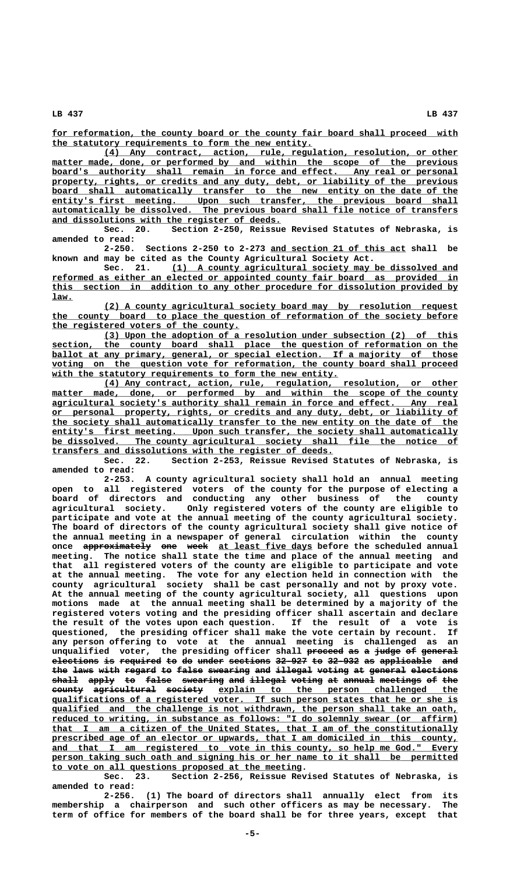for reformation, the county board or the county fair board shall proceed with  **\_\_\_\_\_\_\_\_\_\_\_\_\_\_\_\_\_\_\_\_\_\_\_\_\_\_\_\_\_\_\_\_\_\_\_\_\_\_\_\_\_\_\_\_\_\_\_\_\_\_ the statutory requirements to form the new entity.**

 **\_\_\_\_\_\_\_\_\_\_\_\_\_\_\_\_\_\_\_\_\_\_\_\_\_\_\_\_\_\_\_\_\_\_\_\_\_\_\_\_\_\_\_\_\_\_\_\_\_\_\_\_\_\_\_\_\_\_\_\_\_\_\_\_\_\_\_\_ (4) Any contract, action, rule, regulation, resolution, or other** matter made, done, or performed by and within the scope of the previous board's authority shall remain in force and effect. Any real or personal property, rights, or credits and any duty, debt, or liability of the previous board shall automatically transfer to the new entity on the date of the entity's first meeting. Upon such transfer, the previous board shall  **\_\_\_\_\_\_\_\_\_\_\_\_\_\_\_\_\_\_\_\_\_\_\_\_\_\_\_\_\_\_\_\_\_\_\_\_\_\_\_\_\_\_\_\_\_\_\_\_\_\_\_\_\_\_\_\_\_\_\_\_\_\_\_\_\_\_\_\_\_\_\_\_\_\_\_\_\_\_ automatically be dissolved. The previous board shall file notice of transfers \_\_\_\_\_\_\_\_\_\_\_\_\_\_\_\_\_\_\_\_\_\_\_\_\_\_\_\_\_\_\_\_\_\_\_\_\_\_\_\_\_\_\_\_ and dissolutions with the register of deeds.**

**Sec. 20. Section 2-250, Reissue Revised Statutes of Nebraska, is amended to read:**

 **\_\_\_\_\_\_\_\_\_\_\_\_\_\_\_\_\_\_\_\_\_\_\_\_\_\_ 2-250. Sections 2-250 to 2-273 and section 21 of this act shall be known and may be cited as the County Agricultural Society Act.**

 **\_\_\_\_\_\_\_\_\_\_\_\_\_\_\_\_\_\_\_\_\_\_\_\_\_\_\_\_\_\_\_\_\_\_\_\_\_\_\_\_\_\_\_\_\_\_\_\_\_\_\_\_\_\_\_ Sec. 21. (1) A county agricultural society may be dissolved and \_\_\_\_\_\_\_\_\_\_\_\_\_\_\_\_\_\_\_\_\_\_\_\_\_\_\_\_\_\_\_\_\_\_\_\_\_\_\_\_\_\_\_\_\_\_\_\_\_\_\_\_\_\_\_\_\_\_\_\_\_\_\_\_\_\_\_\_\_\_\_\_\_\_\_\_\_\_ reformed as either an elected or appointed county fair board as provided in \_\_\_\_\_\_\_\_\_\_\_\_\_\_\_\_\_\_\_\_\_\_\_\_\_\_\_\_\_\_\_\_\_\_\_\_\_\_\_\_\_\_\_\_\_\_\_\_\_\_\_\_\_\_\_\_\_\_\_\_\_\_\_\_\_\_\_\_\_\_\_\_\_\_\_\_\_\_ this section in addition to any other procedure for dissolution provided by law. \_\_\_\_**

 **\_\_\_\_\_\_\_\_\_\_\_\_\_\_\_\_\_\_\_\_\_\_\_\_\_\_\_\_\_\_\_\_\_\_\_\_\_\_\_\_\_\_\_\_\_\_\_\_\_\_\_\_\_\_\_\_\_\_\_\_\_\_\_\_\_\_\_\_ (2) A county agricultural society board may by resolution request \_\_\_\_\_\_\_\_\_\_\_\_\_\_\_\_\_\_\_\_\_\_\_\_\_\_\_\_\_\_\_\_\_\_\_\_\_\_\_\_\_\_\_\_\_\_\_\_\_\_\_\_\_\_\_\_\_\_\_\_\_\_\_\_\_\_\_\_\_\_\_\_\_\_\_\_\_\_ the county board to place the question of reformation of the society before \_\_\_\_\_\_\_\_\_\_\_\_\_\_\_\_\_\_\_\_\_\_\_\_\_\_\_\_\_\_\_\_\_\_\_\_ the registered voters of the county.**

 **\_\_\_\_\_\_\_\_\_\_\_\_\_\_\_\_\_\_\_\_\_\_\_\_\_\_\_\_\_\_\_\_\_\_\_\_\_\_\_\_\_\_\_\_\_\_\_\_\_\_\_\_\_\_\_\_\_\_\_\_\_\_\_\_\_\_\_\_ (3) Upon the adoption of a resolution under subsection (2) of this \_\_\_\_\_\_\_\_\_\_\_\_\_\_\_\_\_\_\_\_\_\_\_\_\_\_\_\_\_\_\_\_\_\_\_\_\_\_\_\_\_\_\_\_\_\_\_\_\_\_\_\_\_\_\_\_\_\_\_\_\_\_\_\_\_\_\_\_\_\_\_\_\_\_\_\_\_\_ section, the county board shall place the question of reformation on the** ballot at any primary, general, or special election. If a majority of those  **\_\_\_\_\_\_\_\_\_\_\_\_\_\_\_\_\_\_\_\_\_\_\_\_\_\_\_\_\_\_\_\_\_\_\_\_\_\_\_\_\_\_\_\_\_\_\_\_\_\_\_\_\_\_\_\_\_\_\_\_\_\_\_\_\_\_\_\_\_\_\_\_\_\_\_\_\_\_ voting on the question vote for reformation, the county board shall proceed** with the statutory requirements to form the new entity.

 **\_\_\_\_\_\_\_\_\_\_\_\_\_\_\_\_\_\_\_\_\_\_\_\_\_\_\_\_\_\_\_\_\_\_\_\_\_\_\_\_\_\_\_\_\_\_\_\_\_\_\_\_\_\_\_\_\_\_\_\_\_\_\_\_\_\_\_\_ (4) Any contract, action, rule, regulation, resolution, or other** matter made, done, or performed by and within the scope of the county  **\_\_\_\_\_\_\_\_\_\_\_\_\_\_\_\_\_\_\_\_\_\_\_\_\_\_\_\_\_\_\_\_\_\_\_\_\_\_\_\_\_\_\_\_\_\_\_\_\_\_\_\_\_\_\_\_\_\_\_\_\_\_\_\_\_\_\_\_\_\_\_\_\_\_\_\_\_\_ agricultural society's authority shall remain in force and effect. Any real \_\_\_\_\_\_\_\_\_\_\_\_\_\_\_\_\_\_\_\_\_\_\_\_\_\_\_\_\_\_\_\_\_\_\_\_\_\_\_\_\_\_\_\_\_\_\_\_\_\_\_\_\_\_\_\_\_\_\_\_\_\_\_\_\_\_\_\_\_\_\_\_\_\_\_\_\_\_ or personal property, rights, or credits and any duty, debt, or liability of \_\_\_\_\_\_\_\_\_\_\_\_\_\_\_\_\_\_\_\_\_\_\_\_\_\_\_\_\_\_\_\_\_\_\_\_\_\_\_\_\_\_\_\_\_\_\_\_\_\_\_\_\_\_\_\_\_\_\_\_\_\_\_\_\_\_\_\_\_\_\_\_\_\_\_\_\_\_ the society shall automatically transfer to the new entity on the date of the \_\_\_\_\_\_\_\_\_\_\_\_\_\_\_\_\_\_\_\_\_\_\_\_\_\_\_\_\_\_\_\_\_\_\_\_\_\_\_\_\_\_\_\_\_\_\_\_\_\_\_\_\_\_\_\_\_\_\_\_\_\_\_\_\_\_\_\_\_\_\_\_\_\_\_\_\_\_ entity's first meeting. Upon such transfer, the society shall automatically \_\_\_\_\_\_\_\_\_\_\_\_\_\_\_\_\_\_\_\_\_\_\_\_\_\_\_\_\_\_\_\_\_\_\_\_\_\_\_\_\_\_\_\_\_\_\_\_\_\_\_\_\_\_\_\_\_\_\_\_\_\_\_\_\_\_\_\_\_\_\_\_\_\_\_\_\_\_ be dissolved. The county agricultural society shall file the notice of \_\_\_\_\_\_\_\_\_\_\_\_\_\_\_\_\_\_\_\_\_\_\_\_\_\_\_\_\_\_\_\_\_\_\_\_\_\_\_\_\_\_\_\_\_\_\_\_\_\_\_\_\_\_ transfers and dissolutions with the register of deeds.**

**Sec. 22. Section 2-253, Reissue Revised Statutes of Nebraska, is amended to read:**

**2-253. A county agricultural society shall hold an annual meeting open to all registered voters of the county for the purpose of electing a board of directors and conducting any other business of the county agricultural society. Only registered voters of the county are eligible to participate and vote at the annual meeting of the county agricultural society. The board of directors of the county agricultural society shall give notice of the annual meeting in a newspaper of general circulation within the county** once approximately one week at least five days before the scheduled annual **meeting. The notice shall state the time and place of the annual meeting and that all registered voters of the county are eligible to participate and vote at the annual meeting. The vote for any election held in connection with the county agricultural society shall be cast personally and not by proxy vote. At the annual meeting of the county agricultural society, all questions upon motions made at the annual meeting shall be determined by a majority of the registered voters voting and the presiding officer shall ascertain and declare the result of the votes upon each question. If the result of a vote is questioned, the presiding officer shall make the vote certain by recount. If any person offering to vote at the annual meeting is challenged as an unqualified voter, the presiding officer shall proceed as a judge of general ——————— —— — ————— —— —————— elections is required to do under sections 32-927 to 32-932 as applicable and ————————— —— ———————— —— —— ————— ———————— —————— —— —————— —— —————————— —— the laws with regard to false swearing and illegal voting at general elections ——— ———— ———— —————— —— ————— ———————— ——— ——————— —————— —— ——————— ———————— shall apply to false swearing and illegal voting at annual meetings of the ————— ————— —— ————— ———————— ——— ——————— —————— —— —————— ———————— —— ——** county agricultural society explain to the person challenged the  **\_\_\_\_\_\_\_\_\_\_\_\_\_\_\_\_\_\_\_\_\_\_\_\_\_\_\_\_\_\_\_\_\_\_\_\_\_\_\_\_\_\_\_\_\_\_\_\_\_\_\_\_\_\_\_\_\_\_\_\_\_\_\_\_\_\_\_\_\_\_\_\_\_\_\_\_\_\_ qualifications of a registered voter. If such person states that he or she is**  $qualified$  and the challenge is not withdrawn, the person shall take an oath,  **\_\_\_\_\_\_\_\_\_\_\_\_\_\_\_\_\_\_\_\_\_\_\_\_\_\_\_\_\_\_\_\_\_\_\_\_\_\_\_\_\_\_\_\_\_\_\_\_\_\_\_\_\_\_\_\_\_\_\_\_\_\_\_\_\_\_\_\_\_\_\_\_\_\_\_\_\_\_ reduced to writing, in substance as follows: "I do solemnly swear (or affirm) \_\_\_\_\_\_\_\_\_\_\_\_\_\_\_\_\_\_\_\_\_\_\_\_\_\_\_\_\_\_\_\_\_\_\_\_\_\_\_\_\_\_\_\_\_\_\_\_\_\_\_\_\_\_\_\_\_\_\_\_\_\_\_\_\_\_\_\_\_\_\_\_\_\_\_\_\_\_ that I am a citizen of the United States, that I am of the constitutionally \_\_\_\_\_\_\_\_\_\_\_\_\_\_\_\_\_\_\_\_\_\_\_\_\_\_\_\_\_\_\_\_\_\_\_\_\_\_\_\_\_\_\_\_\_\_\_\_\_\_\_\_\_\_\_\_\_\_\_\_\_\_\_\_\_\_\_\_\_\_\_\_\_\_\_\_\_\_ prescribed age of an elector or upwards, that I am domiciled in this county,** and that I am registered to vote in this county, so help me God." Every  **\_\_\_\_\_\_\_\_\_\_\_\_\_\_\_\_\_\_\_\_\_\_\_\_\_\_\_\_\_\_\_\_\_\_\_\_\_\_\_\_\_\_\_\_\_\_\_\_\_\_\_\_\_\_\_\_\_\_\_\_\_\_\_\_\_\_\_\_\_\_\_\_\_\_\_\_\_\_ person taking such oath and signing his or her name to it shall be permitted \_\_\_\_\_\_\_\_\_\_\_\_\_\_\_\_\_\_\_\_\_\_\_\_\_\_\_\_\_\_\_\_\_\_\_\_\_\_\_\_\_\_\_\_\_\_\_\_ to vote on all questions proposed at the meeting.**

**Sec. 23. Section 2-256, Reissue Revised Statutes of Nebraska, is amended to read:**

**2-256. (1) The board of directors shall annually elect from its membership a chairperson and such other officers as may be necessary. The term of office for members of the board shall be for three years, except that**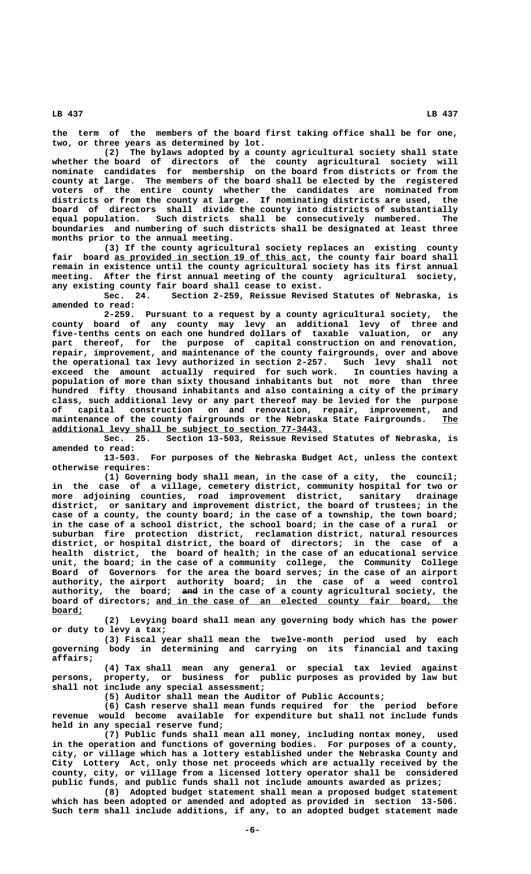**the term of the members of the board first taking office shall be for one, two, or three years as determined by lot.**

**(2) The bylaws adopted by a county agricultural society shall state whether the board of directors of the county agricultural society will nominate candidates for membership on the board from districts or from the county at large. The members of the board shall be elected by the registered voters of the entire county whether the candidates are nominated from districts or from the county at large. If nominating districts are used, the board of directors shall divide the county into districts of substantially equal population. Such districts shall be consecutively numbered. The boundaries and numbering of such districts shall be designated at least three months prior to the annual meeting.**

**(3) If the county agricultural society replaces an existing county** fair board as provided in section 19 of this act, the county fair board shall **remain in existence until the county agricultural society has its first annual meeting. After the first annual meeting of the county agricultural society, any existing county fair board shall cease to exist.**

**Sec. 24. Section 2-259, Reissue Revised Statutes of Nebraska, is amended to read:**

**2-259. Pursuant to a request by a county agricultural society, the county board of any county may levy an additional levy of three and five-tenths cents on each one hundred dollars of taxable valuation, or any part thereof, for the purpose of capital construction on and renovation, repair, improvement, and maintenance of the county fairgrounds, over and above the operational tax levy authorized in section 2-257. Such levy shall not exceed the amount actually required for such work. In counties having a population of more than sixty thousand inhabitants but not more than three hundred fifty thousand inhabitants and also containing a city of the primary class, such additional levy or any part thereof may be levied for the purpose** on and renovation, repair, improvement, and **maintenance of the county fairgrounds or the Nebraska State Fairgrounds. The \_\_\_ \_\_\_\_\_\_\_\_\_\_\_\_\_\_\_\_\_\_\_\_\_\_\_\_\_\_\_\_\_\_\_\_\_\_\_\_\_\_\_\_\_\_\_\_\_\_\_\_\_\_\_\_ additional levy shall be subject to section 77-3443.**

**Sec. 25. Section 13-503, Reissue Revised Statutes of Nebraska, is amended to read:**

**13-503. For purposes of the Nebraska Budget Act, unless the context otherwise requires:**

**(1) Governing body shall mean, in the case of a city, the council; in the case of a village, cemetery district, community hospital for two or more adjoining counties, road improvement district, sanitary drainage district, or sanitary and improvement district, the board of trustees; in the case of a county, the county board; in the case of a township, the town board; in the case of a school district, the school board; in the case of a rural or suburban fire protection district, reclamation district, natural resources district, or hospital district, the board of directors; in the case of a health district, the board of health; in the case of an educational service unit, the board; in the case of a community college, the Community College Board of Governors for the area the board serves; in the case of an airport authority, the airport authority board; in the case of a weed control ——— authority, the board; and in the case of a county agricultural society, the** board of directors; and in the case of an elected county fair board, the  **board; \_\_\_\_\_\_**

> **(2) Levying board shall mean any governing body which has the power or duty to levy a tax;**

> **(3) Fiscal year shall mean the twelve-month period used by each governing body in determining and carrying on its financial and taxing affairs;**

> **(4) Tax shall mean any general or special tax levied against persons, property, or business for public purposes as provided by law but shall not include any special assessment;**

**(5) Auditor shall mean the Auditor of Public Accounts;**

**(6) Cash reserve shall mean funds required for the period before revenue would become available for expenditure but shall not include funds held in any special reserve fund;**

**(7) Public funds shall mean all money, including nontax money, used in the operation and functions of governing bodies. For purposes of a county, city, or village which has a lottery established under the Nebraska County and City Lottery Act, only those net proceeds which are actually received by the county, city, or village from a licensed lottery operator shall be considered public funds, and public funds shall not include amounts awarded as prizes;**

**(8) Adopted budget statement shall mean a proposed budget statement which has been adopted or amended and adopted as provided in section 13-506. Such term shall include additions, if any, to an adopted budget statement made**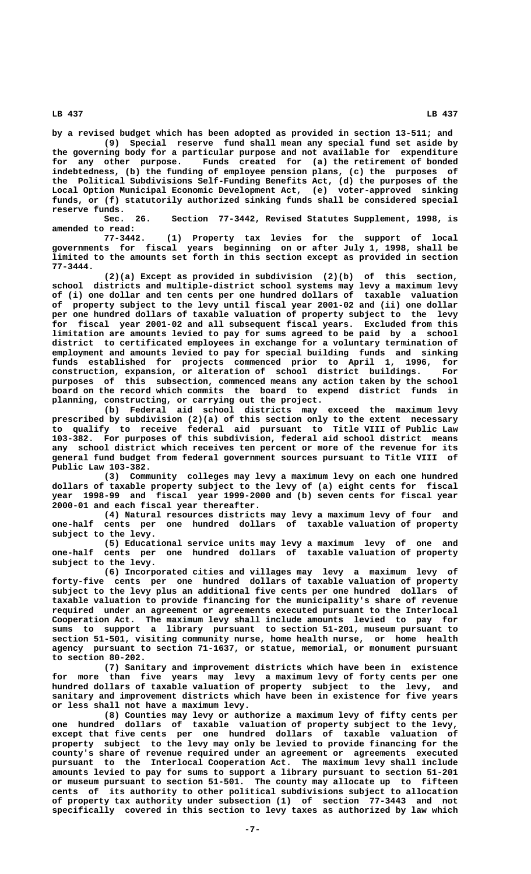**by a revised budget which has been adopted as provided in section 13-511; and**

**(9) Special reserve fund shall mean any special fund set aside by the governing body for a particular purpose and not available for expenditure for any other purpose. Funds created for (a) the retirement of bonded indebtedness, (b) the funding of employee pension plans, (c) the purposes of the Political Subdivisions Self-Funding Benefits Act, (d) the purposes of the Local Option Municipal Economic Development Act, (e) voter-approved sinking funds, or (f) statutorily authorized sinking funds shall be considered special reserve funds.**

**Sec. 26. Section 77-3442, Revised Statutes Supplement, 1998, is amended to read:**

**77-3442. (1) Property tax levies for the support of local governments for fiscal years beginning on or after July 1, 1998, shall be limited to the amounts set forth in this section except as provided in section 77-3444.**

**(2)(a) Except as provided in subdivision (2)(b) of this section, school districts and multiple-district school systems may levy a maximum levy of (i) one dollar and ten cents per one hundred dollars of taxable valuation of property subject to the levy until fiscal year 2001-02 and (ii) one dollar per one hundred dollars of taxable valuation of property subject to the levy for fiscal year 2001-02 and all subsequent fiscal years. Excluded from this limitation are amounts levied to pay for sums agreed to be paid by a school district to certificated employees in exchange for a voluntary termination of employment and amounts levied to pay for special building funds and sinking funds established for projects commenced prior to April 1, 1996, for construction, expansion, or alteration of school district buildings. For purposes of this subsection, commenced means any action taken by the school board on the record which commits the board to expend district funds in planning, constructing, or carrying out the project.**

**(b) Federal aid school districts may exceed the maximum levy prescribed by subdivision (2)(a) of this section only to the extent necessary to qualify to receive federal aid pursuant to Title VIII of Public Law 103-382. For purposes of this subdivision, federal aid school district means any school district which receives ten percent or more of the revenue for its general fund budget from federal government sources pursuant to Title VIII of Public Law 103-382.**

**(3) Community colleges may levy a maximum levy on each one hundred dollars of taxable property subject to the levy of (a) eight cents for fiscal year 1998-99 and fiscal year 1999-2000 and (b) seven cents for fiscal year 2000-01 and each fiscal year thereafter.**

**(4) Natural resources districts may levy a maximum levy of four and one-half cents per one hundred dollars of taxable valuation of property subject to the levy.**

**(5) Educational service units may levy a maximum levy of one and one-half cents per one hundred dollars of taxable valuation of property subject to the levy.**

**(6) Incorporated cities and villages may levy a maximum levy of forty-five cents per one hundred dollars of taxable valuation of property subject to the levy plus an additional five cents per one hundred dollars of taxable valuation to provide financing for the municipality's share of revenue required under an agreement or agreements executed pursuant to the Interlocal Cooperation Act. The maximum levy shall include amounts levied to pay for sums to support a library pursuant to section 51-201, museum pursuant to section 51-501, visiting community nurse, home health nurse, or home health agency pursuant to section 71-1637, or statue, memorial, or monument pursuant to section 80-202.**

**(7) Sanitary and improvement districts which have been in existence for more than five years may levy a maximum levy of forty cents per one hundred dollars of taxable valuation of property subject to the levy, and sanitary and improvement districts which have been in existence for five years or less shall not have a maximum levy.**

**(8) Counties may levy or authorize a maximum levy of fifty cents per one hundred dollars of taxable valuation of property subject to the levy, except that five cents per one hundred dollars of taxable valuation of property subject to the levy may only be levied to provide financing for the county's share of revenue required under an agreement or agreements executed pursuant to the Interlocal Cooperation Act. The maximum levy shall include amounts levied to pay for sums to support a library pursuant to section 51-201 or museum pursuant to section 51-501. The county may allocate up to fifteen cents of its authority to other political subdivisions subject to allocation of property tax authority under subsection (1) of section 77-3443 and not specifically covered in this section to levy taxes as authorized by law which**